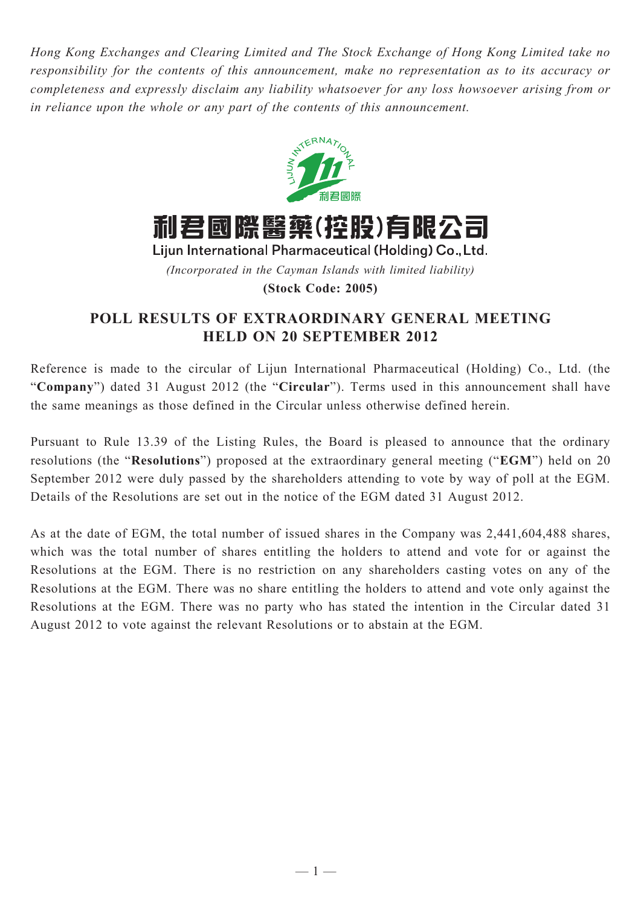*Hong Kong Exchanges and Clearing Limited and The Stock Exchange of Hong Kong Limited take no responsibility for the contents of this announcement, make no representation as to its accuracy or completeness and expressly disclaim any liability whatsoever for any loss howsoever arising from or in reliance upon the whole or any part of the contents of this announcement.*



*(Incorporated in the Cayman Islands with limited liability)* **(Stock Code: 2005)**

## **POLL RESULTS OF EXTRAORDINARY GENERAL MEETING HELD ON 20 SEPTEMBER 2012**

Reference is made to the circular of Lijun International Pharmaceutical (Holding) Co., Ltd. (the "**Company**") dated 31 August 2012 (the "**Circular**"). Terms used in this announcement shall have the same meanings as those defined in the Circular unless otherwise defined herein.

Pursuant to Rule 13.39 of the Listing Rules, the Board is pleased to announce that the ordinary resolutions (the "**Resolutions**") proposed at the extraordinary general meeting ("**EGM**") held on 20 September 2012 were duly passed by the shareholders attending to vote by way of poll at the EGM. Details of the Resolutions are set out in the notice of the EGM dated 31 August 2012.

As at the date of EGM, the total number of issued shares in the Company was 2,441,604,488 shares, which was the total number of shares entitling the holders to attend and vote for or against the Resolutions at the EGM. There is no restriction on any shareholders casting votes on any of the Resolutions at the EGM. There was no share entitling the holders to attend and vote only against the Resolutions at the EGM. There was no party who has stated the intention in the Circular dated 31 August 2012 to vote against the relevant Resolutions or to abstain at the EGM.